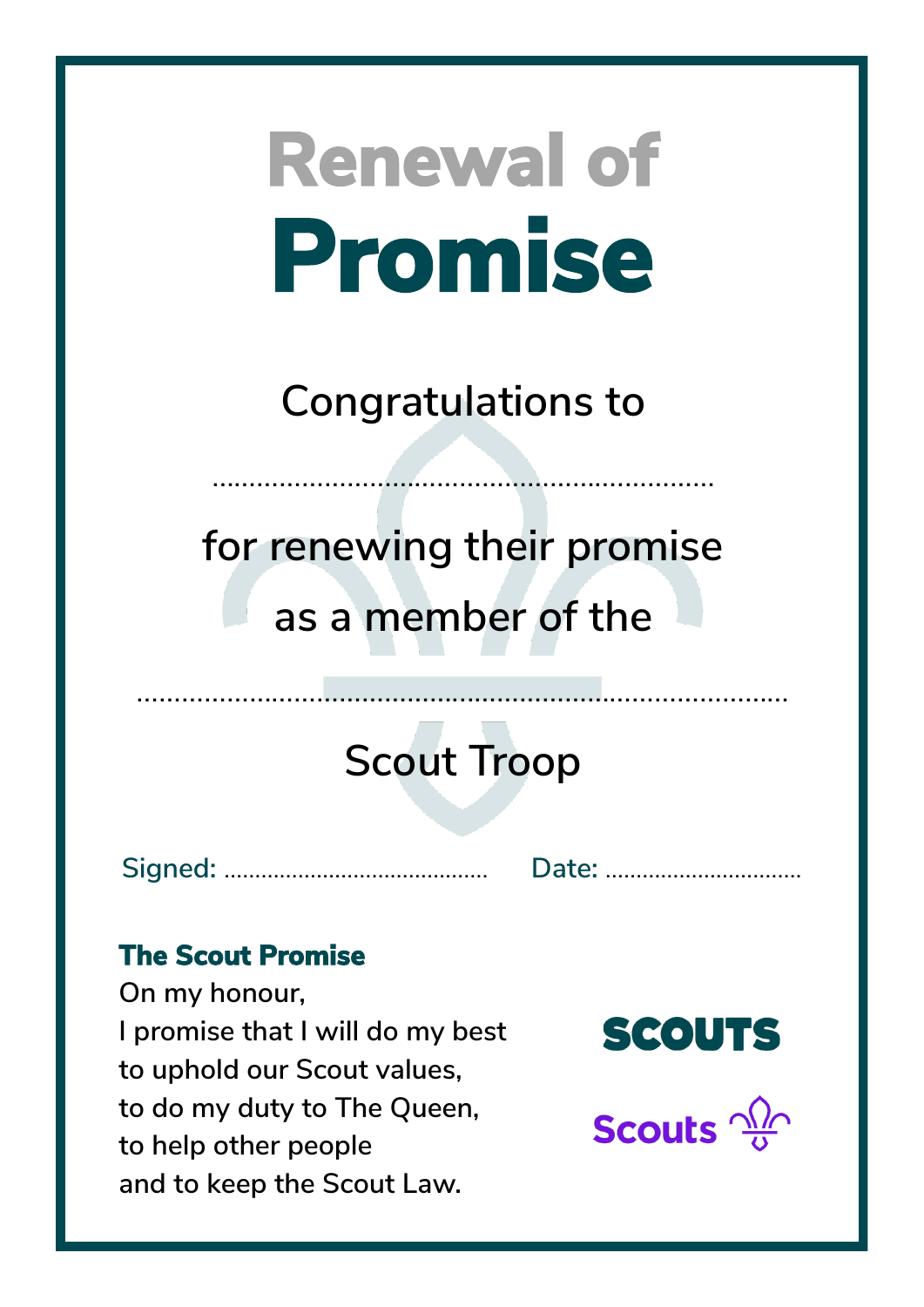**Congratulations to**

……………………………………………….…………

**for renewing their promise as a member of the**

## **Scout Troop**

……………………………………...……………………………………

**Signed:** ……………...……………………. **Date:** …………………....…….

### **The Scout Promise**

**On my honour, I promise that I will do my best to uphold our Scout values, to do my duty to The Queen, to help other people and to keep the Scout Law.**

**SCOUTS** 

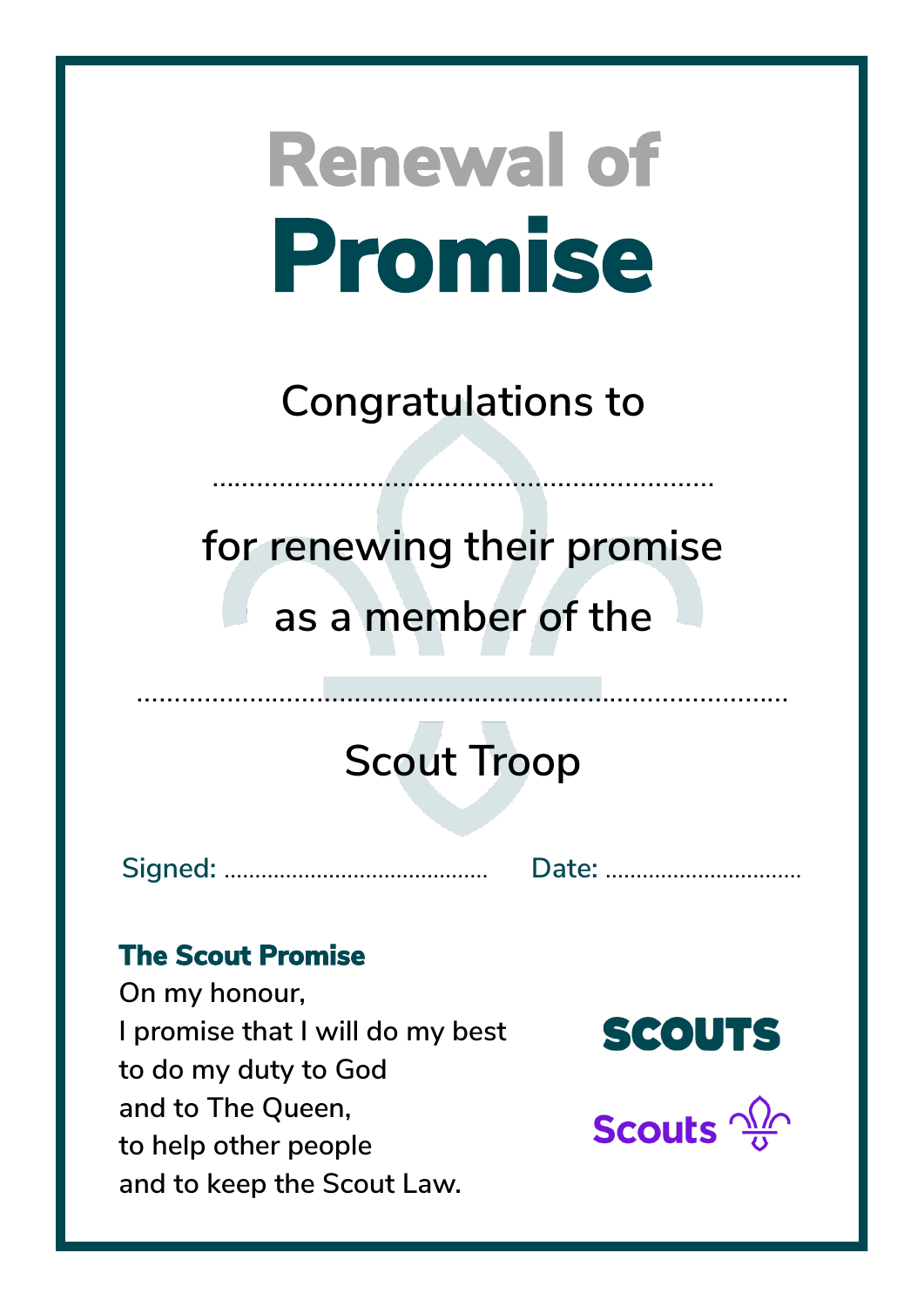**Congratulations to**

……………………………………………….…………

**for renewing their promise as a member of the**

## **Scout Troop**

**Signed:** ……………...……………………. **Date:** …………………....…….

### **The Scout Promise**

**On my honour, I promise that I will do my best to do my duty to God and to The Queen, to help other people and to keep the Scout Law.**



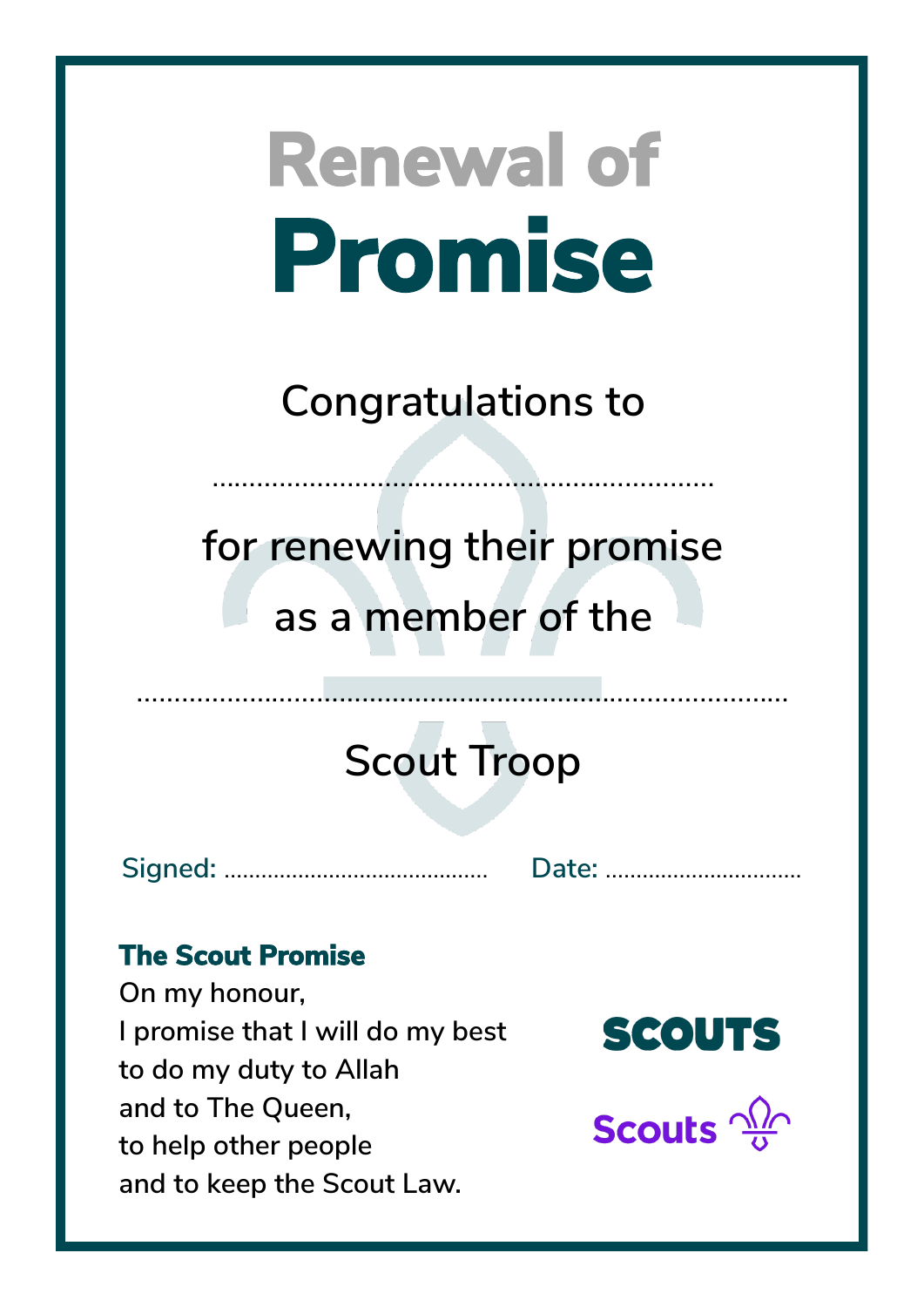**Congratulations to**

……………………………………………….…………

**for renewing their promise as a member of the**

## **Scout Troop**

**Signed:** ……………...……………………. **Date:** …………………....…….

### **The Scout Promise**

**On my honour, I promise that I will do my best to do my duty to Allah and to The Queen, to help other people and to keep the Scout Law.**

**SCOUTS** 

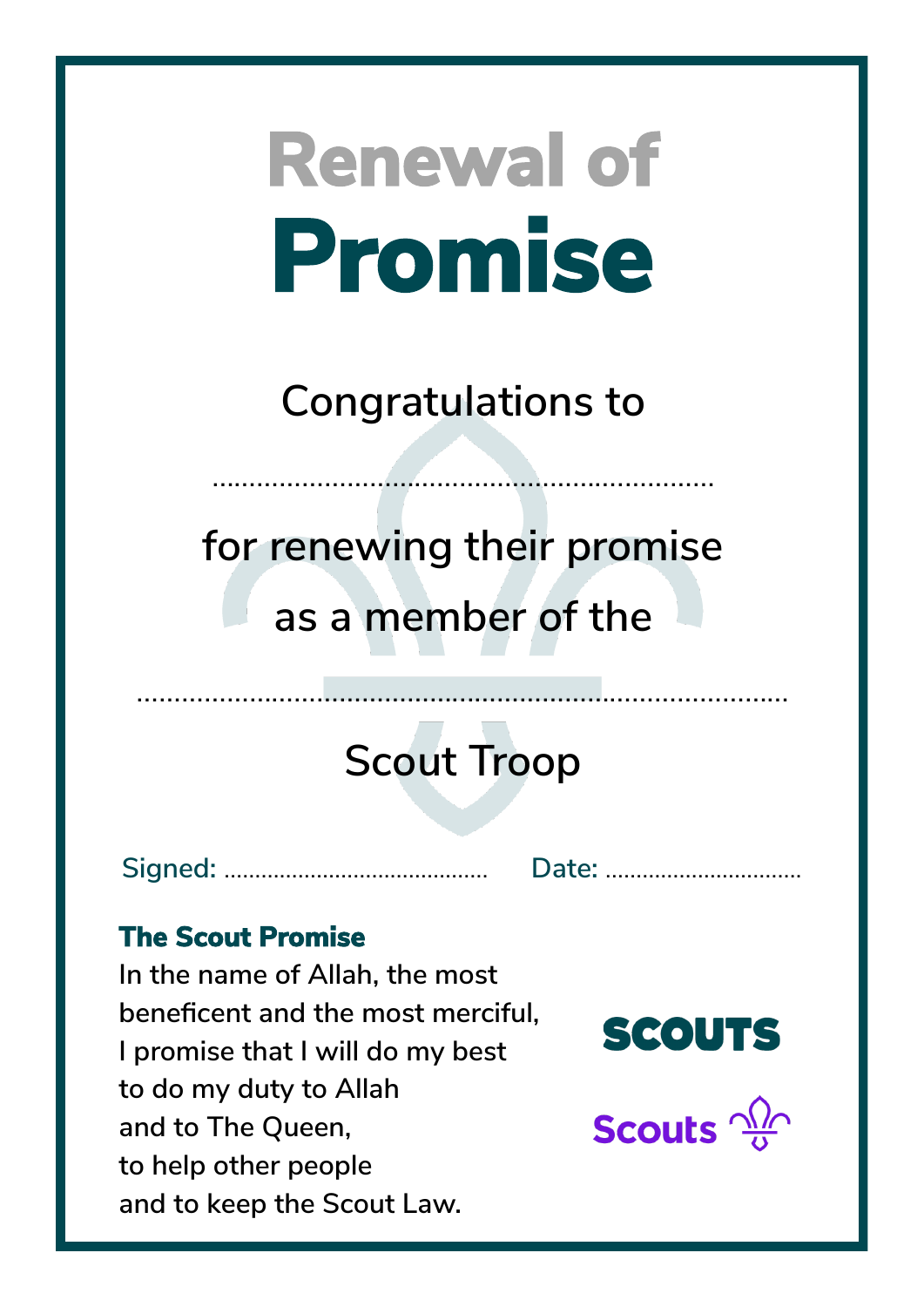### **Congratulations to**

……………………………………………….…………

# **for renewing their promise as a member of the**

# **Scout Troop**

**Signed:** ……………...……………………. **Date:** …………………....…….

### **The Scout Promise**

**In the name of Allah, the most beneficent and the most merciful, I promise that I will do my best to do my duty to Allah and to The Queen, to help other people and to keep the Scout Law.**



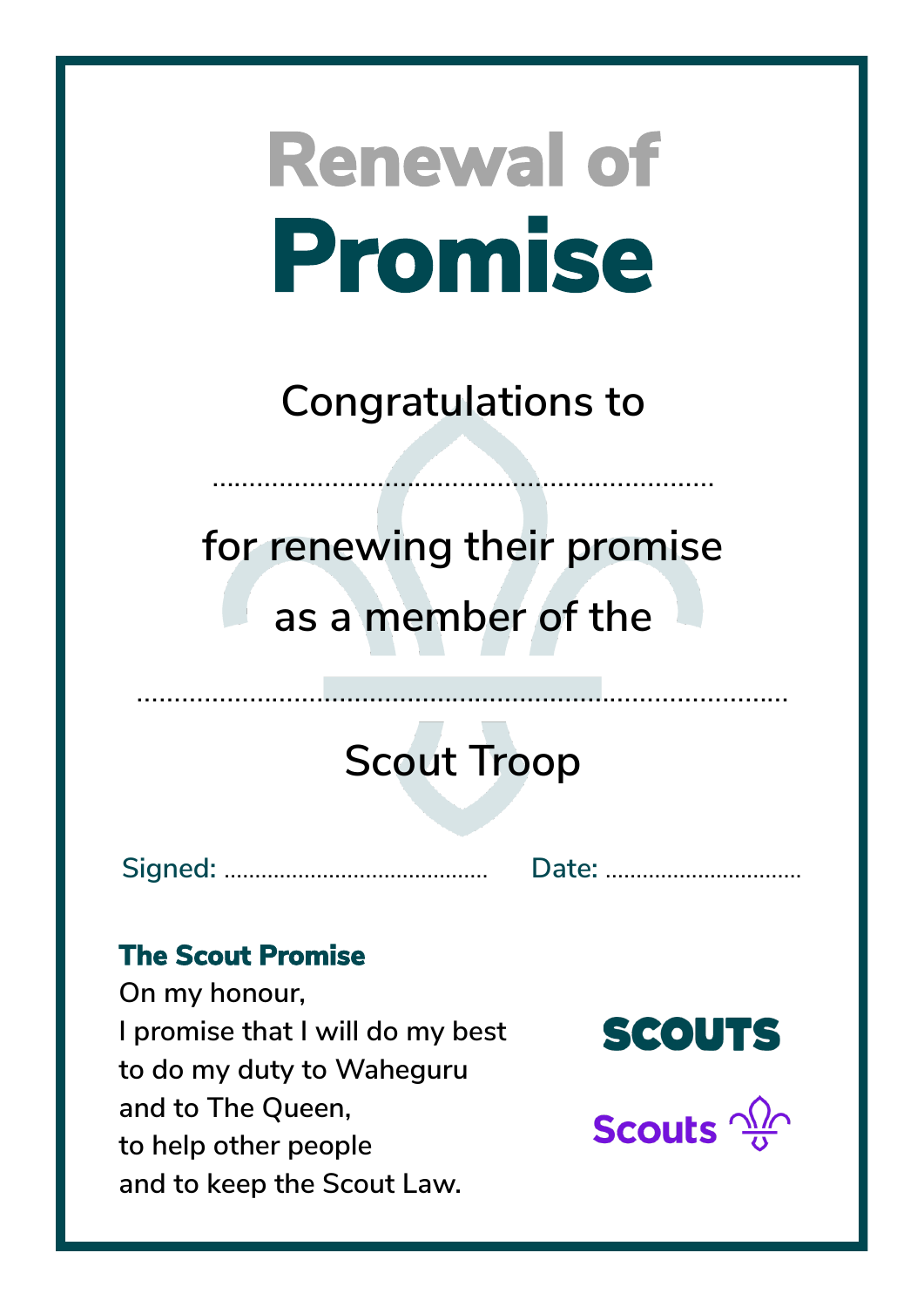**Congratulations to**

……………………………………………….…………

**for renewing their promise as a member of the**

## **Scout Troop**

……………………………………...……………………………………

**Signed:** ……………...……………………. **Date:** …………………....…….

### **The Scout Promise**

**On my honour, I promise that I will do my best to do my duty to Waheguru and to The Queen, to help other people and to keep the Scout Law.**

**SCOUTS** 

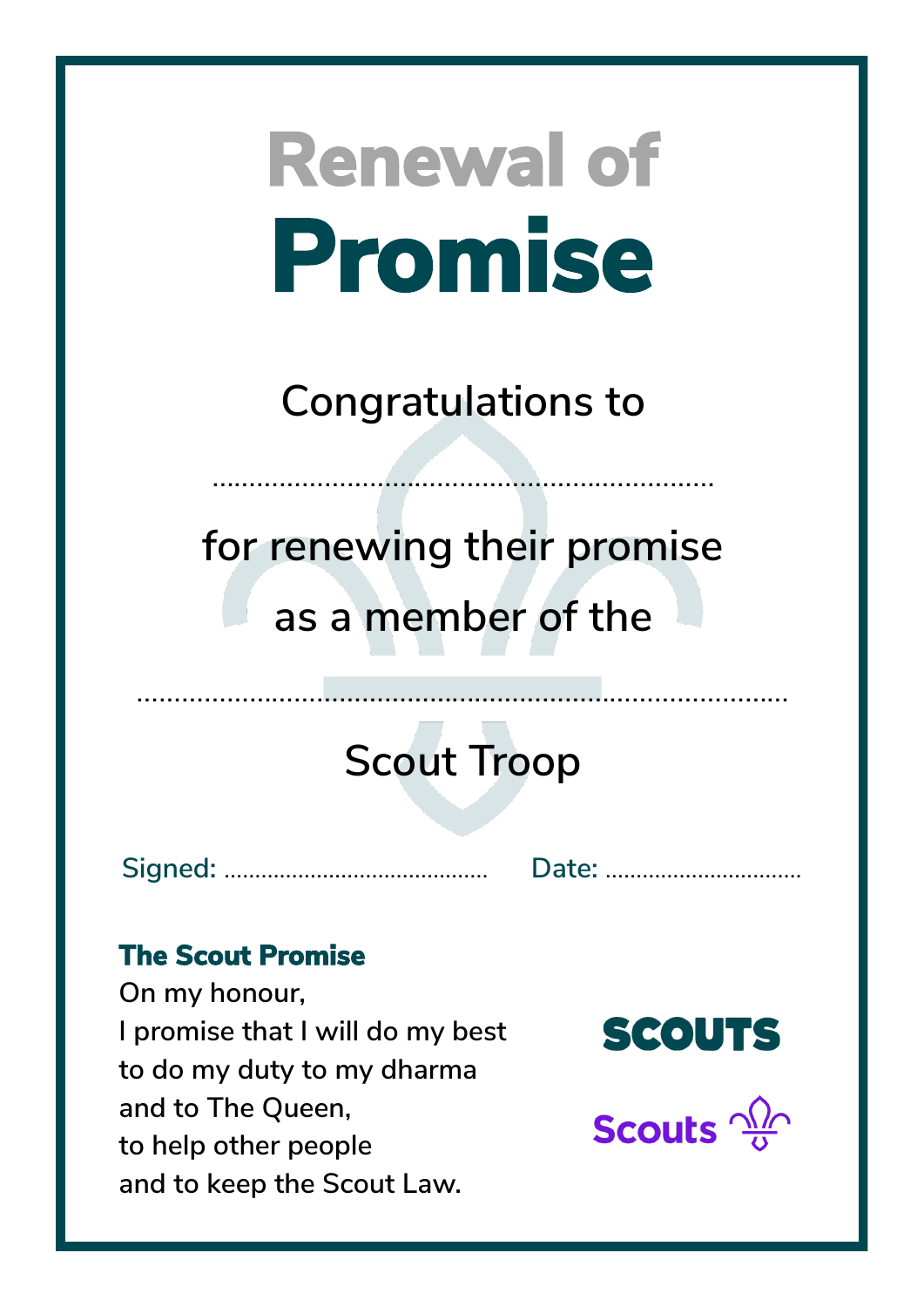**Congratulations to**

……………………………………………….…………

**for renewing their promise as a member of the**

## **Scout Troop**

**Signed:** ……………...……………………. **Date:** …………………....…….

### **The Scout Promise**

**On my honour, I promise that I will do my best to do my duty to my dharma and to The Queen, to help other people and to keep the Scout Law.**